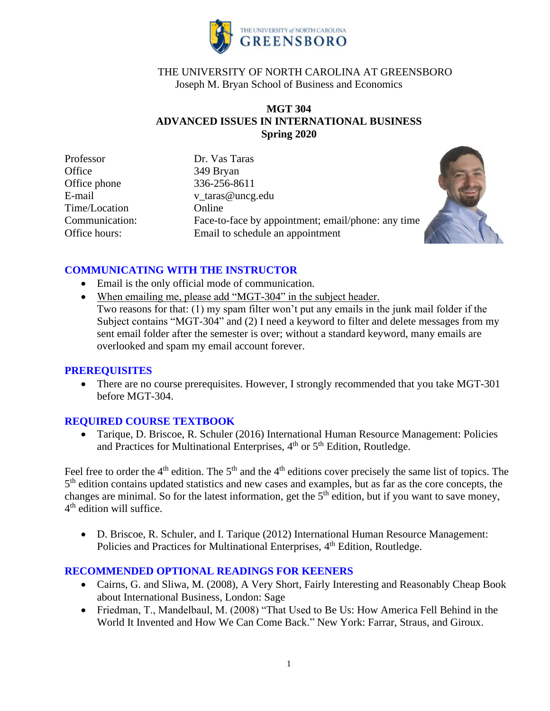

# THE UNIVERSITY OF NORTH CAROLINA AT GREENSBORO Joseph M. Bryan School of Business and Economics

## **MGT 304 ADVANCED ISSUES IN INTERNATIONAL BUSINESS Spring 2020**

Professor Dr. Vas Taras Office 349 Bryan Office phone 336-256-8611 Time/Location Online

E-mail v taras@uncg.edu Communication: Face-to-face by appointment; email/phone: any time Office hours: Email to schedule an appointment



# **COMMUNICATING WITH THE INSTRUCTOR**

- Email is the only official mode of communication.
- When emailing me, please add "MGT-304" in the subject header.
	- Two reasons for that: (1) my spam filter won't put any emails in the junk mail folder if the Subject contains "MGT-304" and (2) I need a keyword to filter and delete messages from my sent email folder after the semester is over; without a standard keyword, many emails are overlooked and spam my email account forever.

## **PREREQUISITES**

• There are no course prerequisites. However, I strongly recommended that you take MGT-301 before MGT-304.

## **REQUIRED COURSE TEXTBOOK**

• Tarique, D. Briscoe, R. Schuler (2016) International Human Resource Management: Policies and Practices for Multinational Enterprises, 4<sup>th</sup> or 5<sup>th</sup> Edition, Routledge.

Feel free to order the 4<sup>th</sup> edition. The 5<sup>th</sup> and the 4<sup>th</sup> editions cover precisely the same list of topics. The 5<sup>th</sup> edition contains updated statistics and new cases and examples, but as far as the core concepts, the changes are minimal. So for the latest information, get the  $5<sup>th</sup>$  edition, but if you want to save money, 4<sup>th</sup> edition will suffice.

• D. Briscoe, R. Schuler, and I. Tarique (2012) International Human Resource Management: Policies and Practices for Multinational Enterprises, 4<sup>th</sup> Edition, Routledge.

## **RECOMMENDED OPTIONAL READINGS FOR KEENERS**

- Cairns, G. and Sliwa, M. (2008), A Very Short, Fairly Interesting and Reasonably Cheap Book about International Business, London: Sage
- Friedman, T., Mandelbaul, M. (2008) "That Used to Be Us: How America Fell Behind in the World It Invented and How We Can Come Back." New York: Farrar, Straus, and Giroux.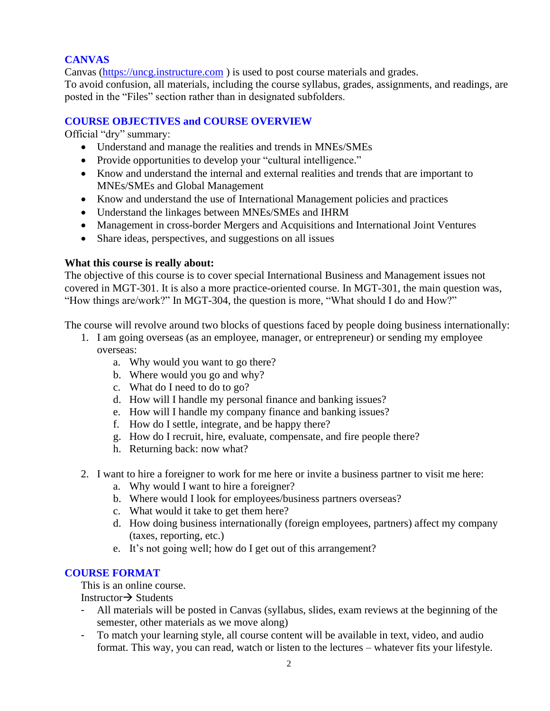# **CANVAS**

Canvas [\(https://uncg.instructure.com](https://uncg.instructure.com/) ) is used to post course materials and grades.

To avoid confusion, all materials, including the course syllabus, grades, assignments, and readings, are posted in the "Files" section rather than in designated subfolders.

## **COURSE OBJECTIVES and COURSE OVERVIEW**

Official "dry" summary:

- Understand and manage the realities and trends in MNEs/SMEs
- Provide opportunities to develop your "cultural intelligence."
- Know and understand the internal and external realities and trends that are important to MNEs/SMEs and Global Management
- Know and understand the use of International Management policies and practices
- Understand the linkages between MNEs/SMEs and IHRM
- Management in cross-border Mergers and Acquisitions and International Joint Ventures
- Share ideas, perspectives, and suggestions on all issues

## **What this course is really about:**

The objective of this course is to cover special International Business and Management issues not covered in MGT-301. It is also a more practice-oriented course. In MGT-301, the main question was, "How things are/work?" In MGT-304, the question is more, "What should I do and How?"

The course will revolve around two blocks of questions faced by people doing business internationally:

- 1. I am going overseas (as an employee, manager, or entrepreneur) or sending my employee overseas:
	- a. Why would you want to go there?
	- b. Where would you go and why?
	- c. What do I need to do to go?
	- d. How will I handle my personal finance and banking issues?
	- e. How will I handle my company finance and banking issues?
	- f. How do I settle, integrate, and be happy there?
	- g. How do I recruit, hire, evaluate, compensate, and fire people there?
	- h. Returning back: now what?
- 2. I want to hire a foreigner to work for me here or invite a business partner to visit me here:
	- a. Why would I want to hire a foreigner?
	- b. Where would I look for employees/business partners overseas?
	- c. What would it take to get them here?
	- d. How doing business internationally (foreign employees, partners) affect my company (taxes, reporting, etc.)
	- e. It's not going well; how do I get out of this arrangement?

# **COURSE FORMAT**

This is an online course.

Instructor→ Students

- All materials will be posted in Canvas (syllabus, slides, exam reviews at the beginning of the semester, other materials as we move along)
- To match your learning style, all course content will be available in text, video, and audio format. This way, you can read, watch or listen to the lectures – whatever fits your lifestyle.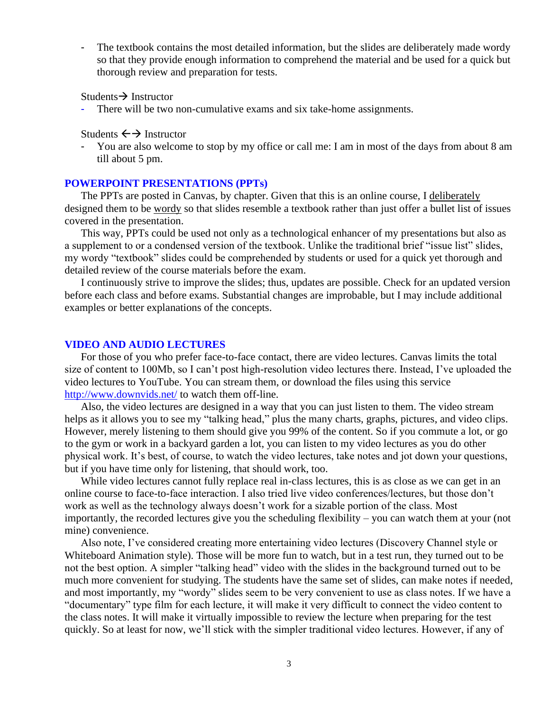The textbook contains the most detailed information, but the slides are deliberately made wordy so that they provide enough information to comprehend the material and be used for a quick but thorough review and preparation for tests.

Students→ Instructor

There will be two non-cumulative exams and six take-home assignments.

Students  $\leftarrow$  Instructor

You are also welcome to stop by my office or call me: I am in most of the days from about 8 am till about 5 pm.

#### **POWERPOINT PRESENTATIONS (PPTs)**

The PPTs are posted in Canvas, by chapter. Given that this is an online course, I deliberately designed them to be wordy so that slides resemble a textbook rather than just offer a bullet list of issues covered in the presentation.

This way, PPTs could be used not only as a technological enhancer of my presentations but also as a supplement to or a condensed version of the textbook. Unlike the traditional brief "issue list" slides, my wordy "textbook" slides could be comprehended by students or used for a quick yet thorough and detailed review of the course materials before the exam.

I continuously strive to improve the slides; thus, updates are possible. Check for an updated version before each class and before exams. Substantial changes are improbable, but I may include additional examples or better explanations of the concepts.

#### **VIDEO AND AUDIO LECTURES**

For those of you who prefer face-to-face contact, there are video lectures. Canvas limits the total size of content to 100Mb, so I can't post high-resolution video lectures there. Instead, I've uploaded the video lectures to YouTube. You can stream them, or download the files using this service <http://www.downvids.net/> to watch them off-line.

Also, the video lectures are designed in a way that you can just listen to them. The video stream helps as it allows you to see my "talking head," plus the many charts, graphs, pictures, and video clips. However, merely listening to them should give you 99% of the content. So if you commute a lot, or go to the gym or work in a backyard garden a lot, you can listen to my video lectures as you do other physical work. It's best, of course, to watch the video lectures, take notes and jot down your questions, but if you have time only for listening, that should work, too.

While video lectures cannot fully replace real in-class lectures, this is as close as we can get in an online course to face-to-face interaction. I also tried live video conferences/lectures, but those don't work as well as the technology always doesn't work for a sizable portion of the class. Most importantly, the recorded lectures give you the scheduling flexibility – you can watch them at your (not mine) convenience.

Also note, I've considered creating more entertaining video lectures (Discovery Channel style or Whiteboard Animation style). Those will be more fun to watch, but in a test run, they turned out to be not the best option. A simpler "talking head" video with the slides in the background turned out to be much more convenient for studying. The students have the same set of slides, can make notes if needed, and most importantly, my "wordy" slides seem to be very convenient to use as class notes. If we have a "documentary" type film for each lecture, it will make it very difficult to connect the video content to the class notes. It will make it virtually impossible to review the lecture when preparing for the test quickly. So at least for now, we'll stick with the simpler traditional video lectures. However, if any of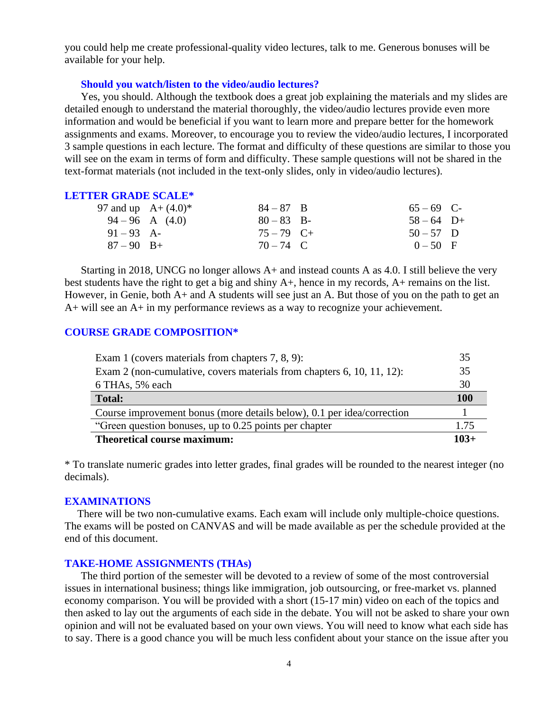you could help me create professional-quality video lectures, talk to me. Generous bonuses will be available for your help.

#### **Should you watch/listen to the video/audio lectures?**

Yes, you should. Although the textbook does a great job explaining the materials and my slides are detailed enough to understand the material thoroughly, the video/audio lectures provide even more information and would be beneficial if you want to learn more and prepare better for the homework assignments and exams. Moreover, to encourage you to review the video/audio lectures, I incorporated 3 sample questions in each lecture. The format and difficulty of these questions are similar to those you will see on the exam in terms of form and difficulty. These sample questions will not be shared in the text-format materials (not included in the text-only slides, only in video/audio lectures).

#### **LETTER GRADE SCALE\***

|              | 97 and up $A + (4.0)^*$ | $84 - 87$ B  | $65 - 69$ C- |  |
|--------------|-------------------------|--------------|--------------|--|
|              | $94-96$ A $(4.0)$       | $80 - 83$ B- | $58 - 64$ D+ |  |
| $91 - 93$ A- |                         | $75 - 79$ C+ | $50 - 57$ D  |  |
| $87 - 90$ B+ |                         | $70 - 74$ C  | $0 - 50$ F   |  |

Starting in 2018, UNCG no longer allows A+ and instead counts A as 4.0. I still believe the very best students have the right to get a big and shiny A+, hence in my records, A+ remains on the list. However, in Genie, both A+ and A students will see just an A. But those of you on the path to get an A+ will see an A+ in my performance reviews as a way to recognize your achievement.

### **COURSE GRADE COMPOSITION\***

| Exam 1 (covers materials from chapters 7, 8, 9):                       | 35         |
|------------------------------------------------------------------------|------------|
| Exam 2 (non-cumulative, covers materials from chapters 6, 10, 11, 12): | 35         |
| 6 THAs, 5% each                                                        | 30         |
| <b>Total:</b>                                                          | <b>100</b> |
| Course improvement bonus (more details below), 0.1 per idea/correction |            |
| "Green question bonuses, up to 0.25 points per chapter                 | 1.75       |
| <b>Theoretical course maximum:</b>                                     |            |

\* To translate numeric grades into letter grades, final grades will be rounded to the nearest integer (no decimals).

#### **EXAMINATIONS**

There will be two non-cumulative exams. Each exam will include only multiple-choice questions. The exams will be posted on CANVAS and will be made available as per the schedule provided at the end of this document.

### **TAKE-HOME ASSIGNMENTS (THAs)**

The third portion of the semester will be devoted to a review of some of the most controversial issues in international business; things like immigration, job outsourcing, or free-market vs. planned economy comparison. You will be provided with a short (15-17 min) video on each of the topics and then asked to lay out the arguments of each side in the debate. You will not be asked to share your own opinion and will not be evaluated based on your own views. You will need to know what each side has to say. There is a good chance you will be much less confident about your stance on the issue after you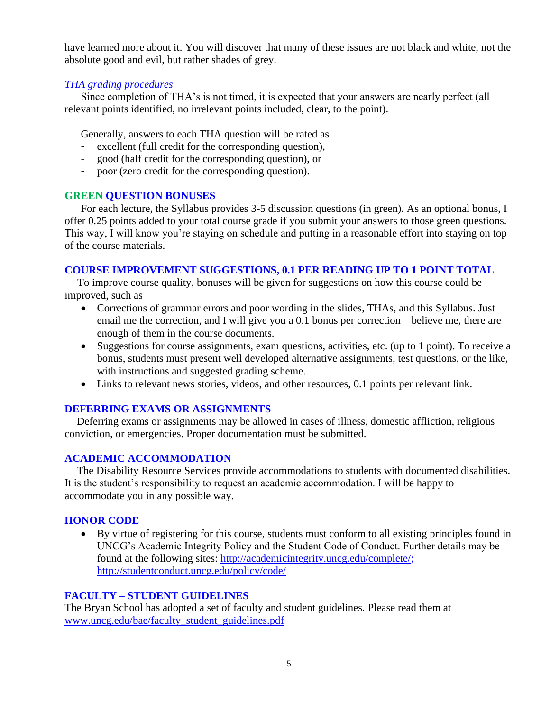have learned more about it. You will discover that many of these issues are not black and white, not the absolute good and evil, but rather shades of grey.

## *THA grading procedures*

Since completion of THA's is not timed, it is expected that your answers are nearly perfect (all relevant points identified, no irrelevant points included, clear, to the point).

Generally, answers to each THA question will be rated as

- excellent (full credit for the corresponding question),
- good (half credit for the corresponding question), or
- poor (zero credit for the corresponding question).

## **GREEN QUESTION BONUSES**

For each lecture, the Syllabus provides 3-5 discussion questions (in green). As an optional bonus, I offer 0.25 points added to your total course grade if you submit your answers to those green questions. This way, I will know you're staying on schedule and putting in a reasonable effort into staying on top of the course materials.

## **COURSE IMPROVEMENT SUGGESTIONS, 0.1 PER READING UP TO 1 POINT TOTAL**

To improve course quality, bonuses will be given for suggestions on how this course could be improved, such as

- Corrections of grammar errors and poor wording in the slides, THAs, and this Syllabus. Just email me the correction, and I will give you a 0.1 bonus per correction – believe me, there are enough of them in the course documents.
- Suggestions for course assignments, exam questions, activities, etc. (up to 1 point). To receive a bonus, students must present well developed alternative assignments, test questions, or the like, with instructions and suggested grading scheme.
- Links to relevant news stories, videos, and other resources, 0.1 points per relevant link.

## **DEFERRING EXAMS OR ASSIGNMENTS**

Deferring exams or assignments may be allowed in cases of illness, domestic affliction, religious conviction, or emergencies. Proper documentation must be submitted.

## **ACADEMIC ACCOMMODATION**

The Disability Resource Services provide accommodations to students with documented disabilities. It is the student's responsibility to request an academic accommodation. I will be happy to accommodate you in any possible way.

## **HONOR CODE**

• By virtue of registering for this course, students must conform to all existing principles found in UNCG's Academic Integrity Policy and the Student Code of Conduct. Further details may be found at the following sites: [http://academicintegrity.uncg.edu/complete/;](http://academicintegrity.uncg.edu/complete/) <http://studentconduct.uncg.edu/policy/code/>

## **FACULTY – STUDENT GUIDELINES**

The Bryan School has adopted a set of faculty and student guidelines. Please read them at [www.uncg.edu/bae/faculty\\_student\\_guidelines.pdf](http://www.uncg.edu/bae/faculty_student_guidelines.pdf)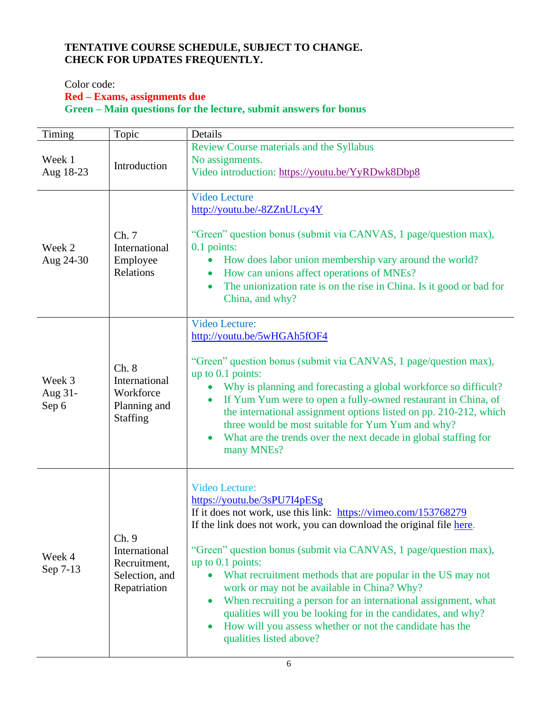# **TENTATIVE COURSE SCHEDULE, SUBJECT TO CHANGE. CHECK FOR UPDATES FREQUENTLY.**

## Color code:

# **Red – Exams, assignments due**

**Green – Main questions for the lecture, submit answers for bonus** 

| Timing                     | Topic                                                                    | Details                                                                                                                                                                                                                                                                                                                                                                                                                                                                                                                                                                                                                            |
|----------------------------|--------------------------------------------------------------------------|------------------------------------------------------------------------------------------------------------------------------------------------------------------------------------------------------------------------------------------------------------------------------------------------------------------------------------------------------------------------------------------------------------------------------------------------------------------------------------------------------------------------------------------------------------------------------------------------------------------------------------|
| Week 1<br>Aug 18-23        | Introduction                                                             | Review Course materials and the Syllabus<br>No assignments.<br>Video introduction: https://youtu.be/YyRDwk8Dbp8                                                                                                                                                                                                                                                                                                                                                                                                                                                                                                                    |
| Week 2<br>Aug 24-30        | Ch. 7<br>International<br>Employee<br>Relations                          | <b>Video Lecture</b><br>http://youtu.be/-8ZZnULcy4Y<br>"Green" question bonus (submit via CANVAS, 1 page/question max),<br>0.1 points:<br>How does labor union membership vary around the world?<br>How can unions affect operations of MNEs?<br>The unionization rate is on the rise in China. Is it good or bad for<br>$\bullet$<br>China, and why?                                                                                                                                                                                                                                                                              |
| Week 3<br>Aug 31-<br>Sep 6 | Ch. 8<br>International<br>Workforce<br>Planning and<br><b>Staffing</b>   | <b>Video Lecture:</b><br>http://youtu.be/5wHGAh5fOF4<br>"Green" question bonus (submit via CANVAS, 1 page/question max),<br>up to $0.1$ points:<br>Why is planning and forecasting a global workforce so difficult?<br>If Yum Yum were to open a fully-owned restaurant in China, of<br>$\bullet$<br>the international assignment options listed on pp. 210-212, which<br>three would be most suitable for Yum Yum and why?<br>What are the trends over the next decade in global staffing for<br>many MNEs?                                                                                                                       |
| Week 4<br>Sep 7-13         | Ch. 9<br>International<br>Recruitment,<br>Selection, and<br>Repatriation | <b>Video Lecture:</b><br>https://youtu.be/3sPU7I4pESg<br>If it does not work, use this link: https://vimeo.com/153768279<br>If the link does not work, you can download the original file here.<br>"Green" question bonus (submit via CANVAS, 1 page/question max),<br>up to $0.1$ points:<br>What recruitment methods that are popular in the US may not<br>work or may not be available in China? Why?<br>When recruiting a person for an international assignment, what<br>qualities will you be looking for in the candidates, and why?<br>How will you assess whether or not the candidate has the<br>qualities listed above? |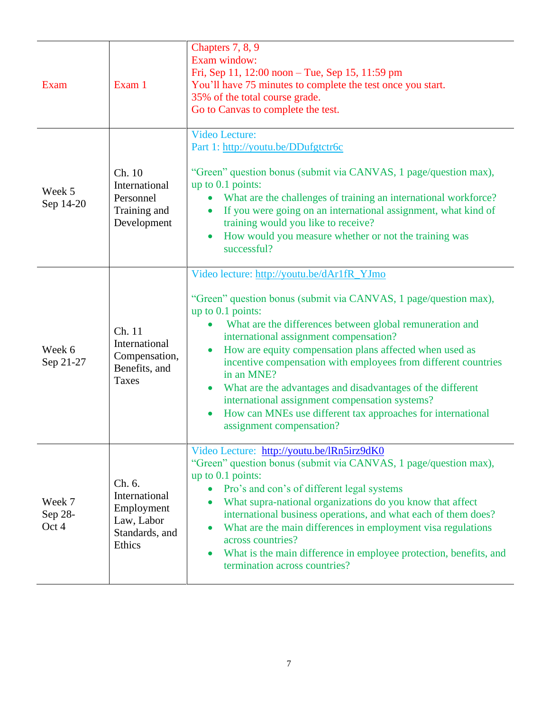| Exam                       | Exam 1                                                                          | Chapters 7, 8, 9<br>Exam window:<br>Fri, Sep 11, 12:00 noon – Tue, Sep 15, 11:59 pm<br>You'll have 75 minutes to complete the test once you start.<br>35% of the total course grade.<br>Go to Canvas to complete the test.                                                                                                                                                                                                                                                                                                                                                                                                  |
|----------------------------|---------------------------------------------------------------------------------|-----------------------------------------------------------------------------------------------------------------------------------------------------------------------------------------------------------------------------------------------------------------------------------------------------------------------------------------------------------------------------------------------------------------------------------------------------------------------------------------------------------------------------------------------------------------------------------------------------------------------------|
| Week 5<br>Sep 14-20        | Ch. 10<br>International<br>Personnel<br>Training and<br>Development             | <b>Video Lecture:</b><br>Part 1: http://youtu.be/DDufgtctr6c<br>"Green" question bonus (submit via CANVAS, 1 page/question max),<br>up to $0.1$ points:<br>What are the challenges of training an international workforce?<br>If you were going on an international assignment, what kind of<br>$\bullet$<br>training would you like to receive?<br>How would you measure whether or not the training was<br>successful?                                                                                                                                                                                                    |
| Week 6<br>Sep 21-27        | Ch. 11<br>International<br>Compensation,<br>Benefits, and<br>Taxes              | Video lecture: http://youtu.be/dAr1fR_YJmo<br>"Green" question bonus (submit via CANVAS, 1 page/question max),<br>up to $0.1$ points:<br>What are the differences between global remuneration and<br>international assignment compensation?<br>How are equity compensation plans affected when used as<br>incentive compensation with employees from different countries<br>in an MNE?<br>What are the advantages and disadvantages of the different<br>$\bullet$<br>international assignment compensation systems?<br>How can MNEs use different tax approaches for international<br>$\bullet$<br>assignment compensation? |
| Week 7<br>Sep 28-<br>Oct 4 | Ch. 6.<br>International<br>Employment<br>Law, Labor<br>Standards, and<br>Ethics | Video Lecture: http://youtu.be/lRn5irz9dK0<br>"Green" question bonus (submit via CANVAS, 1 page/question max),<br>up to $0.1$ points:<br>Pro's and con's of different legal systems<br>What supra-national organizations do you know that affect<br>international business operations, and what each of them does?<br>What are the main differences in employment visa regulations<br>across countries?<br>What is the main difference in employee protection, benefits, and<br>termination across countries?                                                                                                               |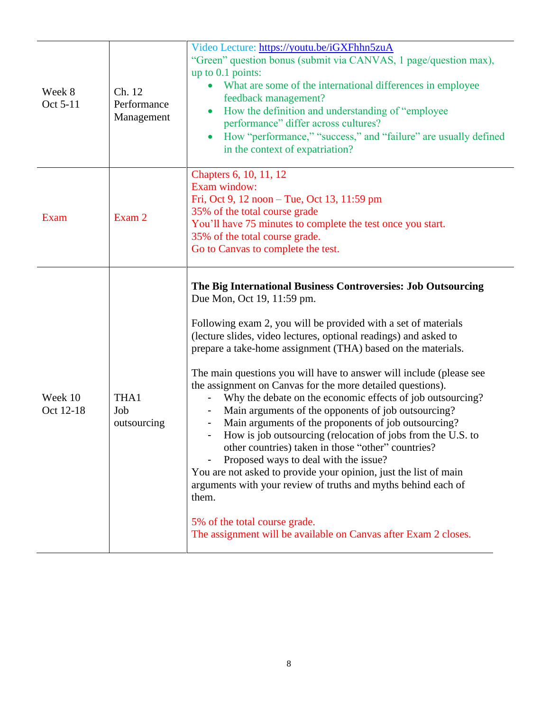| Week 8<br>Oct 5-11   | Ch. 12<br>Performance<br>Management | Video Lecture: https://youtu.be/iGXFhhn5zuA<br>"Green" question bonus (submit via CANVAS, 1 page/question max),<br>up to 0.1 points:<br>What are some of the international differences in employee<br>feedback management?<br>How the definition and understanding of "employee<br>performance" differ across cultures?<br>How "performance," "success," and "failure" are usually defined<br>in the context of expatriation?                                                                                                                                                                                                                                                                                                                                                                                                                                                                                                                                                                                                       |
|----------------------|-------------------------------------|-------------------------------------------------------------------------------------------------------------------------------------------------------------------------------------------------------------------------------------------------------------------------------------------------------------------------------------------------------------------------------------------------------------------------------------------------------------------------------------------------------------------------------------------------------------------------------------------------------------------------------------------------------------------------------------------------------------------------------------------------------------------------------------------------------------------------------------------------------------------------------------------------------------------------------------------------------------------------------------------------------------------------------------|
| <b>Exam</b>          | Exam 2                              | Chapters 6, 10, 11, 12<br>Exam window:<br>Fri, Oct 9, 12 noon – Tue, Oct 13, 11:59 pm<br>35% of the total course grade<br>You'll have 75 minutes to complete the test once you start.<br>35% of the total course grade.<br>Go to Canvas to complete the test.                                                                                                                                                                                                                                                                                                                                                                                                                                                                                                                                                                                                                                                                                                                                                                       |
| Week 10<br>Oct 12-18 | THA1<br>Job<br>outsourcing          | The Big International Business Controversies: Job Outsourcing<br>Due Mon, Oct 19, 11:59 pm.<br>Following exam 2, you will be provided with a set of materials<br>(lecture slides, video lectures, optional readings) and asked to<br>prepare a take-home assignment (THA) based on the materials.<br>The main questions you will have to answer will include (please see<br>the assignment on Canvas for the more detailed questions).<br>Why the debate on the economic effects of job outsourcing?<br>Main arguments of the opponents of job outsourcing?<br>Main arguments of the proponents of job outsourcing?<br>How is job outsourcing (relocation of jobs from the U.S. to<br>other countries) taken in those "other" countries?<br>Proposed ways to deal with the issue?<br>You are not asked to provide your opinion, just the list of main<br>arguments with your review of truths and myths behind each of<br>them.<br>5% of the total course grade.<br>The assignment will be available on Canvas after Exam 2 closes. |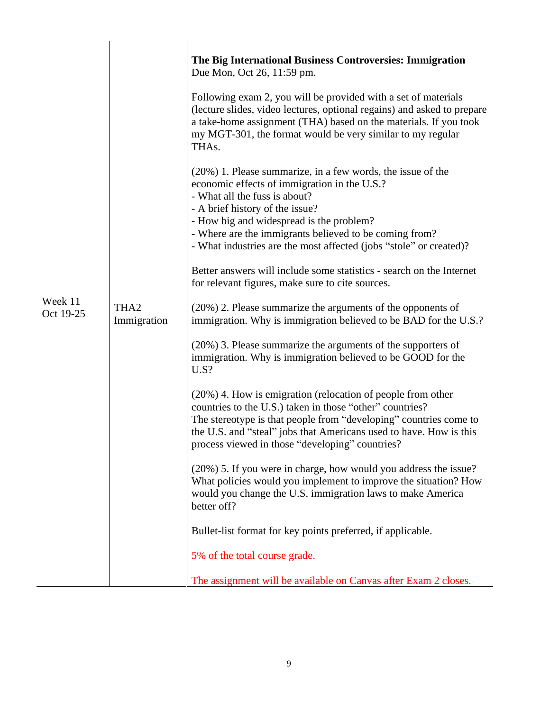|                      |                                 | The Big International Business Controversies: Immigration<br>Due Mon, Oct 26, 11:59 pm.                                                                                                                                                                                                                               |
|----------------------|---------------------------------|-----------------------------------------------------------------------------------------------------------------------------------------------------------------------------------------------------------------------------------------------------------------------------------------------------------------------|
|                      |                                 | Following exam 2, you will be provided with a set of materials<br>(lecture slides, video lectures, optional regains) and asked to prepare<br>a take-home assignment (THA) based on the materials. If you took<br>my MGT-301, the format would be very similar to my regular<br>THA <sub>s</sub> .                     |
|                      |                                 | (20%) 1. Please summarize, in a few words, the issue of the<br>economic effects of immigration in the U.S.?<br>- What all the fuss is about?<br>- A brief history of the issue?<br>- How big and widespread is the problem?<br>- Where are the immigrants believed to be coming from?                                 |
|                      |                                 | - What industries are the most affected (jobs "stole" or created)?                                                                                                                                                                                                                                                    |
|                      | THA <sub>2</sub><br>Immigration | Better answers will include some statistics - search on the Internet<br>for relevant figures, make sure to cite sources.                                                                                                                                                                                              |
| Week 11<br>Oct 19-25 |                                 | (20%) 2. Please summarize the arguments of the opponents of<br>immigration. Why is immigration believed to be BAD for the U.S.?                                                                                                                                                                                       |
|                      |                                 | (20%) 3. Please summarize the arguments of the supporters of<br>immigration. Why is immigration believed to be GOOD for the<br>U.S?                                                                                                                                                                                   |
|                      |                                 | (20%) 4. How is emigration (relocation of people from other<br>countries to the U.S.) taken in those "other" countries?<br>The stereotype is that people from "developing" countries come to<br>the U.S. and "steal" jobs that Americans used to have. How is this<br>process viewed in those "developing" countries? |
|                      |                                 | (20%) 5. If you were in charge, how would you address the issue?<br>What policies would you implement to improve the situation? How<br>would you change the U.S. immigration laws to make America<br>better off?                                                                                                      |
|                      |                                 | Bullet-list format for key points preferred, if applicable.                                                                                                                                                                                                                                                           |
|                      |                                 | 5% of the total course grade.                                                                                                                                                                                                                                                                                         |
|                      |                                 | The assignment will be available on Canvas after Exam 2 closes.                                                                                                                                                                                                                                                       |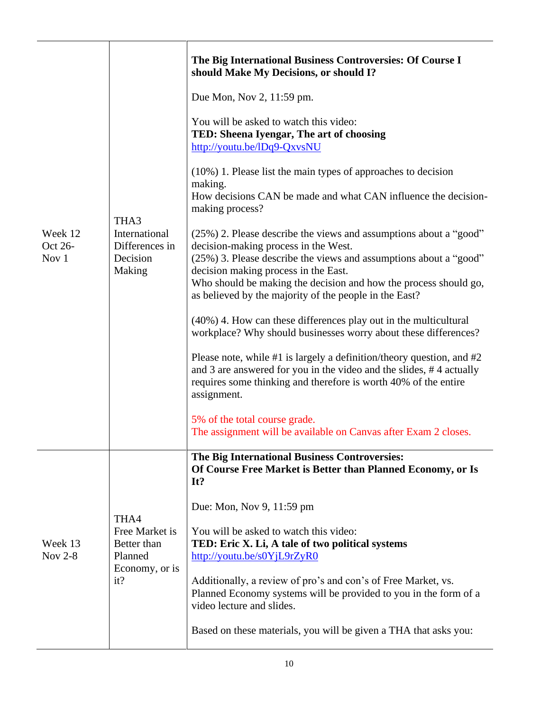| Week 12<br>Oct 26-<br>Nov 1 | THA3<br>International<br>Differences in<br>Decision<br>Making             | The Big International Business Controversies: Of Course I<br>should Make My Decisions, or should I?<br>Due Mon, Nov 2, 11:59 pm.<br>You will be asked to watch this video:<br>TED: Sheena Iyengar, The art of choosing<br>http://youtu.be/lDq9-QxvsNU<br>$(10\%)$ 1. Please list the main types of approaches to decision<br>making.<br>How decisions CAN be made and what CAN influence the decision-<br>making process?<br>(25%) 2. Please describe the views and assumptions about a "good"<br>decision-making process in the West.<br>(25%) 3. Please describe the views and assumptions about a "good"<br>decision making process in the East.<br>Who should be making the decision and how the process should go,<br>as believed by the majority of the people in the East?<br>$(40\%)$ 4. How can these differences play out in the multicultural<br>workplace? Why should businesses worry about these differences?<br>Please note, while #1 is largely a definition/theory question, and #2<br>and 3 are answered for you in the video and the slides, #4 actually<br>requires some thinking and therefore is worth 40% of the entire<br>assignment.<br>5% of the total course grade.<br>The assignment will be available on Canvas after Exam 2 closes. |
|-----------------------------|---------------------------------------------------------------------------|-------------------------------------------------------------------------------------------------------------------------------------------------------------------------------------------------------------------------------------------------------------------------------------------------------------------------------------------------------------------------------------------------------------------------------------------------------------------------------------------------------------------------------------------------------------------------------------------------------------------------------------------------------------------------------------------------------------------------------------------------------------------------------------------------------------------------------------------------------------------------------------------------------------------------------------------------------------------------------------------------------------------------------------------------------------------------------------------------------------------------------------------------------------------------------------------------------------------------------------------------------------------|
| Week 13<br><b>Nov 2-8</b>   | THA4<br>Free Market is<br>Better than<br>Planned<br>Economy, or is<br>it? | The Big International Business Controversies:<br>Of Course Free Market is Better than Planned Economy, or Is<br>It?<br>Due: Mon, Nov 9, 11:59 pm<br>You will be asked to watch this video:<br>TED: Eric X. Li, A tale of two political systems<br>http://youtu.be/s0YjL9rZyR0<br>Additionally, a review of pro's and con's of Free Market, vs.<br>Planned Economy systems will be provided to you in the form of a<br>video lecture and slides.<br>Based on these materials, you will be given a THA that asks you:                                                                                                                                                                                                                                                                                                                                                                                                                                                                                                                                                                                                                                                                                                                                               |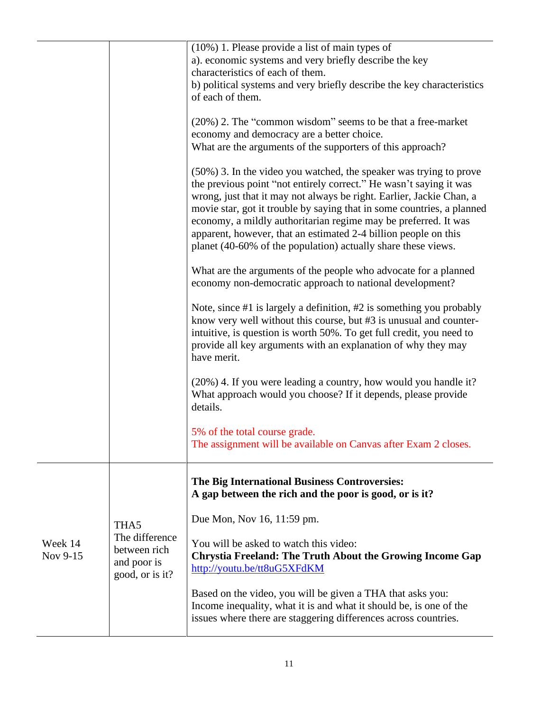|                     |                                                                          | $(10\%)$ 1. Please provide a list of main types of<br>a). economic systems and very briefly describe the key<br>characteristics of each of them.<br>b) political systems and very briefly describe the key characteristics<br>of each of them.<br>(20%) 2. The "common wisdom" seems to be that a free-market<br>economy and democracy are a better choice.<br>What are the arguments of the supporters of this approach?<br>(50%) 3. In the video you watched, the speaker was trying to prove<br>the previous point "not entirely correct." He wasn't saying it was<br>wrong, just that it may not always be right. Earlier, Jackie Chan, a<br>movie star, got it trouble by saying that in some countries, a planned<br>economy, a mildly authoritarian regime may be preferred. It was<br>apparent, however, that an estimated 2-4 billion people on this<br>planet (40-60% of the population) actually share these views.<br>What are the arguments of the people who advocate for a planned<br>economy non-democratic approach to national development?<br>Note, since $#1$ is largely a definition, $#2$ is something you probably<br>know very well without this course, but #3 is unusual and counter-<br>intuitive, is question is worth 50%. To get full credit, you need to<br>provide all key arguments with an explanation of why they may<br>have merit.<br>(20%) 4. If you were leading a country, how would you handle it?<br>What approach would you choose? If it depends, please provide<br>details.<br>5% of the total course grade.<br>The assignment will be available on Canvas after Exam 2 closes. |
|---------------------|--------------------------------------------------------------------------|------------------------------------------------------------------------------------------------------------------------------------------------------------------------------------------------------------------------------------------------------------------------------------------------------------------------------------------------------------------------------------------------------------------------------------------------------------------------------------------------------------------------------------------------------------------------------------------------------------------------------------------------------------------------------------------------------------------------------------------------------------------------------------------------------------------------------------------------------------------------------------------------------------------------------------------------------------------------------------------------------------------------------------------------------------------------------------------------------------------------------------------------------------------------------------------------------------------------------------------------------------------------------------------------------------------------------------------------------------------------------------------------------------------------------------------------------------------------------------------------------------------------------------------------------------------------------------------------------------------------------|
| Week 14<br>Nov 9-15 | THA5<br>The difference<br>between rich<br>and poor is<br>good, or is it? | The Big International Business Controversies:<br>A gap between the rich and the poor is good, or is it?<br>Due Mon, Nov 16, 11:59 pm.<br>You will be asked to watch this video:<br><b>Chrystia Freeland: The Truth About the Growing Income Gap</b><br>http://youtu.be/tt8uG5XFdKM<br>Based on the video, you will be given a THA that asks you:<br>Income inequality, what it is and what it should be, is one of the<br>issues where there are staggering differences across countries.                                                                                                                                                                                                                                                                                                                                                                                                                                                                                                                                                                                                                                                                                                                                                                                                                                                                                                                                                                                                                                                                                                                                    |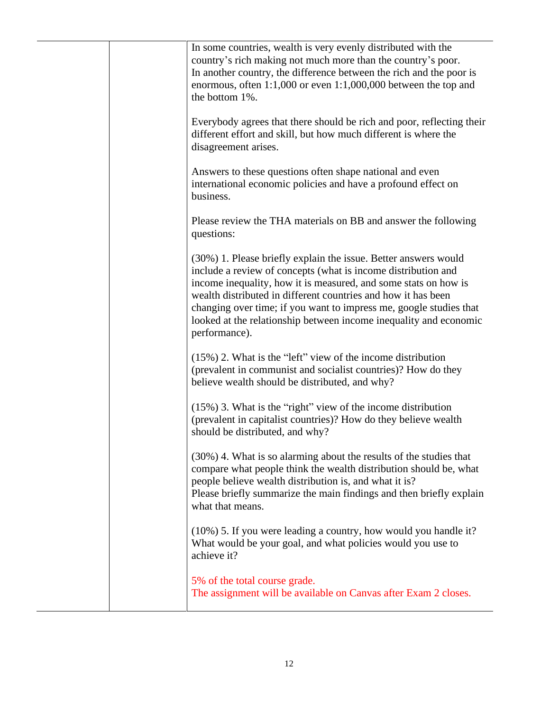|  | In some countries, wealth is very evenly distributed with the<br>country's rich making not much more than the country's poor.<br>In another country, the difference between the rich and the poor is<br>enormous, often $1:1,000$ or even $1:1,000,000$ between the top and<br>the bottom 1%.                                                                                                                                    |
|--|----------------------------------------------------------------------------------------------------------------------------------------------------------------------------------------------------------------------------------------------------------------------------------------------------------------------------------------------------------------------------------------------------------------------------------|
|  | Everybody agrees that there should be rich and poor, reflecting their<br>different effort and skill, but how much different is where the<br>disagreement arises.                                                                                                                                                                                                                                                                 |
|  | Answers to these questions often shape national and even<br>international economic policies and have a profound effect on<br>business.                                                                                                                                                                                                                                                                                           |
|  | Please review the THA materials on BB and answer the following<br>questions:                                                                                                                                                                                                                                                                                                                                                     |
|  | (30%) 1. Please briefly explain the issue. Better answers would<br>include a review of concepts (what is income distribution and<br>income inequality, how it is measured, and some stats on how is<br>wealth distributed in different countries and how it has been<br>changing over time; if you want to impress me, google studies that<br>looked at the relationship between income inequality and economic<br>performance). |
|  | $(15\%)$ 2. What is the "left" view of the income distribution<br>(prevalent in communist and socialist countries)? How do they<br>believe wealth should be distributed, and why?                                                                                                                                                                                                                                                |
|  | $(15\%)$ 3. What is the "right" view of the income distribution<br>(prevalent in capitalist countries)? How do they believe wealth<br>should be distributed, and why?                                                                                                                                                                                                                                                            |
|  | (30%) 4. What is so alarming about the results of the studies that<br>compare what people think the wealth distribution should be, what<br>people believe wealth distribution is, and what it is?<br>Please briefly summarize the main findings and then briefly explain<br>what that means.                                                                                                                                     |
|  | $(10\%)$ 5. If you were leading a country, how would you handle it?<br>What would be your goal, and what policies would you use to<br>achieve it?                                                                                                                                                                                                                                                                                |
|  | 5% of the total course grade.<br>The assignment will be available on Canvas after Exam 2 closes.                                                                                                                                                                                                                                                                                                                                 |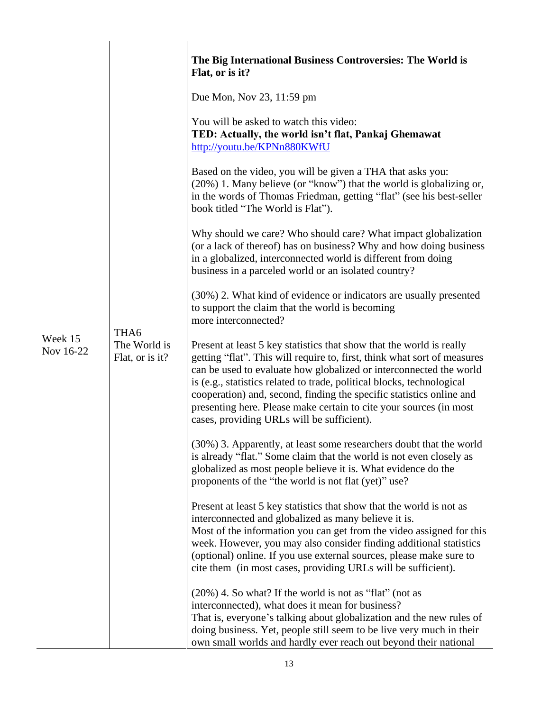|                      |                                         | The Big International Business Controversies: The World is<br>Flat, or is it?                                                                                                                                                                                                                                                                                                                                                                                                                |
|----------------------|-----------------------------------------|----------------------------------------------------------------------------------------------------------------------------------------------------------------------------------------------------------------------------------------------------------------------------------------------------------------------------------------------------------------------------------------------------------------------------------------------------------------------------------------------|
|                      | THA6<br>The World is<br>Flat, or is it? | Due Mon, Nov 23, 11:59 pm                                                                                                                                                                                                                                                                                                                                                                                                                                                                    |
|                      |                                         | You will be asked to watch this video:<br>TED: Actually, the world isn't flat, Pankaj Ghemawat<br>http://youtu.be/KPNn880KWfU                                                                                                                                                                                                                                                                                                                                                                |
|                      |                                         | Based on the video, you will be given a THA that asks you:<br>(20%) 1. Many believe (or "know") that the world is globalizing or,<br>in the words of Thomas Friedman, getting "flat" (see his best-seller<br>book titled "The World is Flat").                                                                                                                                                                                                                                               |
|                      |                                         | Why should we care? Who should care? What impact globalization<br>(or a lack of thereof) has on business? Why and how doing business<br>in a globalized, interconnected world is different from doing<br>business in a parceled world or an isolated country?                                                                                                                                                                                                                                |
|                      |                                         | (30%) 2. What kind of evidence or indicators are usually presented<br>to support the claim that the world is becoming<br>more interconnected?                                                                                                                                                                                                                                                                                                                                                |
| Week 15<br>Nov 16-22 |                                         | Present at least 5 key statistics that show that the world is really<br>getting "flat". This will require to, first, think what sort of measures<br>can be used to evaluate how globalized or interconnected the world<br>is (e.g., statistics related to trade, political blocks, technological<br>cooperation) and, second, finding the specific statistics online and<br>presenting here. Please make certain to cite your sources (in most<br>cases, providing URLs will be sufficient). |
|                      |                                         | (30%) 3. Apparently, at least some researchers doubt that the world<br>is already "flat." Some claim that the world is not even closely as<br>globalized as most people believe it is. What evidence do the<br>proponents of the "the world is not flat (yet)" use?                                                                                                                                                                                                                          |
|                      |                                         | Present at least 5 key statistics that show that the world is not as<br>interconnected and globalized as many believe it is.<br>Most of the information you can get from the video assigned for this<br>week. However, you may also consider finding additional statistics<br>(optional) online. If you use external sources, please make sure to<br>cite them (in most cases, providing URLs will be sufficient).                                                                           |
|                      |                                         | $(20\%)$ 4. So what? If the world is not as "flat" (not as<br>interconnected), what does it mean for business?<br>That is, everyone's talking about globalization and the new rules of<br>doing business. Yet, people still seem to be live very much in their<br>own small worlds and hardly ever reach out beyond their national                                                                                                                                                           |